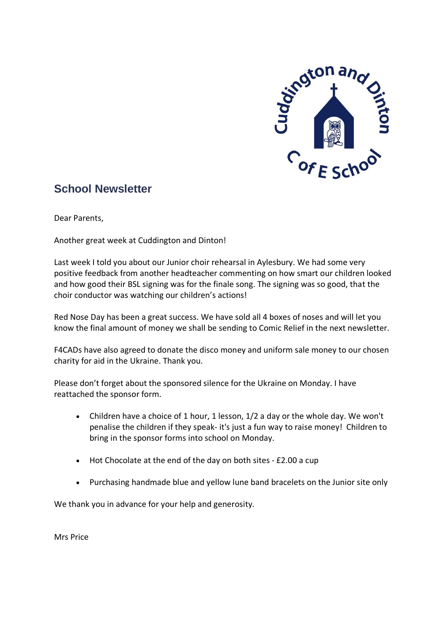

# **School Newsletter**

Dear Parents,

Another great week at Cuddington and Dinton!

Last week I told you about our Junior choir rehearsal in Aylesbury. We had some very positive feedback from another headteacher commenting on how smart our children looked and how good their BSL signing was for the finale song. The signing was so good, that the choir conductor was watching our children's actions!

Red Nose Day has been a great success. We have sold all 4 boxes of noses and will let you know the final amount of money we shall be sending to Comic Relief in the next newsletter.

F4CADs have also agreed to donate the disco money and uniform sale money to our chosen charity for aid in the Ukraine. Thank you.

Please don't forget about the sponsored silence for the Ukraine on Monday. I have reattached the sponsor form.

- Children have a choice of 1 hour, 1 lesson, 1/2 a day or the whole day. We won't penalise the children if they speak- it's just a fun way to raise money! Children to bring in the sponsor forms into school on Monday.
- Hot Chocolate at the end of the day on both sites £2.00 a cup
- Purchasing handmade blue and yellow lune band bracelets on the Junior site only

We thank you in advance for your help and generosity.

Mrs Price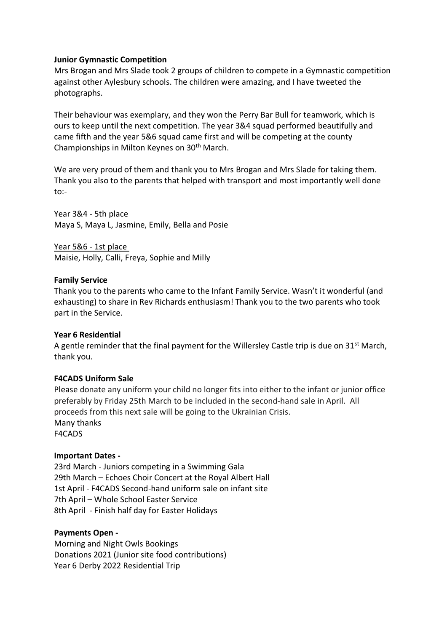## **Junior Gymnastic Competition**

Mrs Brogan and Mrs Slade took 2 groups of children to compete in a Gymnastic competition against other Aylesbury schools. The children were amazing, and I have tweeted the photographs.

Their behaviour was exemplary, and they won the Perry Bar Bull for teamwork, which is ours to keep until the next competition. The year 3&4 squad performed beautifully and came fifth and the year 5&6 squad came first and will be competing at the county Championships in Milton Keynes on 30th March.

We are very proud of them and thank you to Mrs Brogan and Mrs Slade for taking them. Thank you also to the parents that helped with transport and most importantly well done to:-

Year 3&4 - 5th place Maya S, Maya L, Jasmine, Emily, Bella and Posie

Year 5&6 - 1st place Maisie, Holly, Calli, Freya, Sophie and Milly

#### **Family Service**

Thank you to the parents who came to the Infant Family Service. Wasn't it wonderful (and exhausting) to share in Rev Richards enthusiasm! Thank you to the two parents who took part in the Service.

#### **Year 6 Residential**

A gentle reminder that the final payment for the Willersley Castle trip is due on 31<sup>st</sup> March, thank you.

#### **F4CADS Uniform Sale**

Please donate any uniform your child no longer fits into either to the infant or junior office preferably by Friday 25th March to be included in the second-hand sale in April. All proceeds from this next sale will be going to the Ukrainian Crisis. Many thanks F4CADS

#### **Important Dates -**

23rd March - Juniors competing in a Swimming Gala 29th March – Echoes Choir Concert at the Royal Albert Hall 1st April - F4CADS Second-hand uniform sale on infant site 7th April – Whole School Easter Service 8th April - Finish half day for Easter Holidays

#### **Payments Open -**

Morning and Night Owls Bookings Donations 2021 (Junior site food contributions) Year 6 Derby 2022 Residential Trip